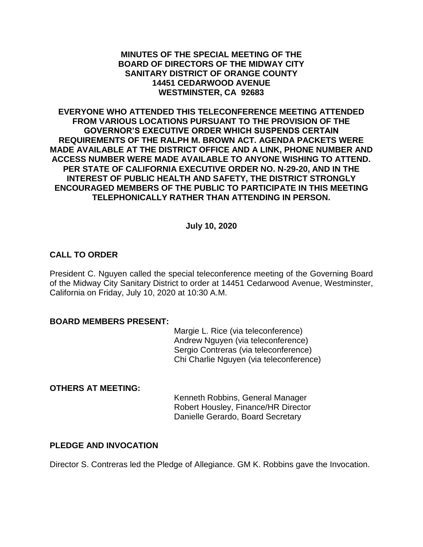#### **MINUTES OF THE SPECIAL MEETING OF THE BOARD OF DIRECTORS OF THE MIDWAY CITY SANITARY DISTRICT OF ORANGE COUNTY 14451 CEDARWOOD AVENUE WESTMINSTER, CA 92683**

**EVERYONE WHO ATTENDED THIS TELECONFERENCE MEETING ATTENDED FROM VARIOUS LOCATIONS PURSUANT TO THE PROVISION OF THE GOVERNOR'S EXECUTIVE ORDER WHICH SUSPENDS CERTAIN REQUIREMENTS OF THE RALPH M. BROWN ACT. AGENDA PACKETS WERE MADE AVAILABLE AT THE DISTRICT OFFICE AND A LINK, PHONE NUMBER AND ACCESS NUMBER WERE MADE AVAILABLE TO ANYONE WISHING TO ATTEND. PER STATE OF CALIFORNIA EXECUTIVE ORDER NO. N-29-20, AND IN THE INTEREST OF PUBLIC HEALTH AND SAFETY, THE DISTRICT STRONGLY ENCOURAGED MEMBERS OF THE PUBLIC TO PARTICIPATE IN THIS MEETING TELEPHONICALLY RATHER THAN ATTENDING IN PERSON.**

### **July 10, 2020**

## **CALL TO ORDER**

President C. Nguyen called the special teleconference meeting of the Governing Board of the Midway City Sanitary District to order at 14451 Cedarwood Avenue, Westminster, California on Friday, July 10, 2020 at 10:30 A.M.

#### **BOARD MEMBERS PRESENT:**

Margie L. Rice (via teleconference) Andrew Nguyen (via teleconference) Sergio Contreras (via teleconference) Chi Charlie Nguyen (via teleconference)

### **OTHERS AT MEETING:**

Kenneth Robbins, General Manager Robert Housley, Finance/HR Director Danielle Gerardo, Board Secretary

### **PLEDGE AND INVOCATION**

Director S. Contreras led the Pledge of Allegiance. GM K. Robbins gave the Invocation.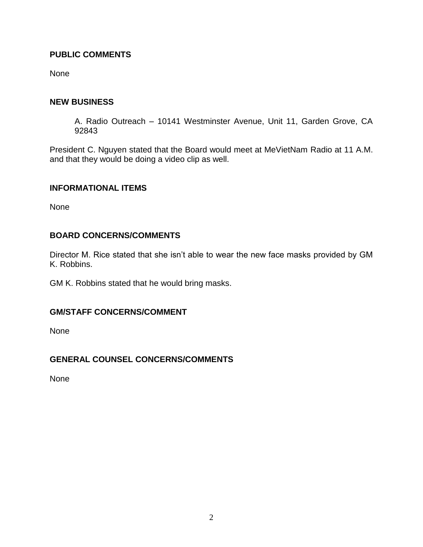## **PUBLIC COMMENTS**

None

## **NEW BUSINESS**

A. Radio Outreach – 10141 Westminster Avenue, Unit 11, Garden Grove, CA 92843

President C. Nguyen stated that the Board would meet at MeVietNam Radio at 11 A.M. and that they would be doing a video clip as well.

### **INFORMATIONAL ITEMS**

None

## **BOARD CONCERNS/COMMENTS**

Director M. Rice stated that she isn't able to wear the new face masks provided by GM K. Robbins.

GM K. Robbins stated that he would bring masks.

## **GM/STAFF CONCERNS/COMMENT**

None

## **GENERAL COUNSEL CONCERNS/COMMENTS**

None